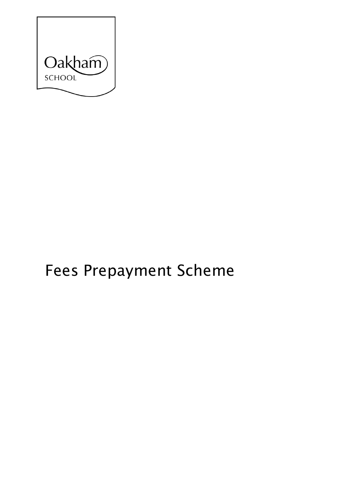

# **Fees Prepayment Scheme**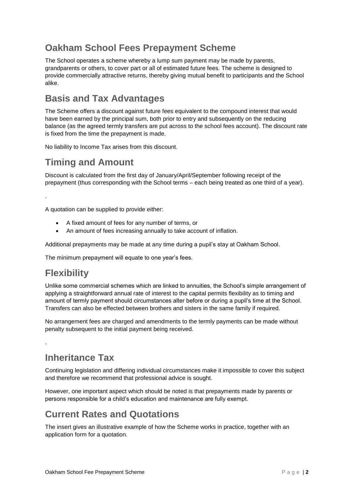## **Oakham School Fees Prepayment Scheme**

The School operates a scheme whereby a lump sum payment may be made by parents, grandparents or others, to cover part or all of estimated future fees. The scheme is designed to provide commercially attractive returns, thereby giving mutual benefit to participants and the School alike.

## **Basis and Tax Advantages**

The Scheme offers a discount against future fees equivalent to the compound interest that would have been earned by the principal sum, both prior to entry and subsequently on the reducing balance (as the agreed termly transfers are put across to the school fees account). The discount rate is fixed from the time the prepayment is made.

No liability to Income Tax arises from this discount.

## **Timing and Amount**

Discount is calculated from the first day of January/April/September following receipt of the prepayment (thus corresponding with the School terms – each being treated as one third of a year).

A quotation can be supplied to provide either:

- A fixed amount of fees for any number of terms, or
- An amount of fees increasing annually to take account of inflation.

Additional prepayments may be made at any time during a pupil's stay at Oakham School.

The minimum prepayment will equate to one year's fees.

### **Flexibility**

.

.

Unlike some commercial schemes which are linked to annuities, the School's simple arrangement of applying a straightforward annual rate of interest to the capital permits flexibility as to timing and amount of termly payment should circumstances alter before or during a pupil's time at the School. Transfers can also be effected between brothers and sisters in the same family if required.

No arrangement fees are charged and amendments to the termly payments can be made without penalty subsequent to the initial payment being received.

### **Inheritance Tax**

Continuing legislation and differing individual circumstances make it impossible to cover this subject and therefore we recommend that professional advice is sought.

However, one important aspect which should be noted is that prepayments made by parents or persons responsible for a child's education and maintenance are fully exempt.

#### **Current Rates and Quotations**

The insert gives an illustrative example of how the Scheme works in practice, together with an application form for a quotation.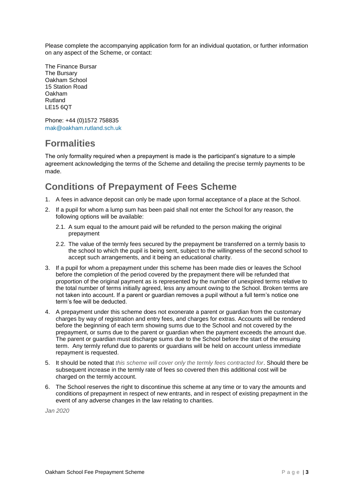Please complete the accompanying application form for an individual quotation, or further information on any aspect of the Scheme, or contact:

The Finance Bursar The Bursary Oakham School 15 Station Road Oakham Rutland LE15 6QT

Phone: +44 (0)1572 758835 [mak@oakham.rutland.sch.uk](mailto:mak@oakham.rutland.sch.uk)

### **Formalities**

The only formality required when a prepayment is made is the participant's signature to a simple agreement acknowledging the terms of the Scheme and detailing the precise termly payments to be made.

## **Conditions of Prepayment of Fees Scheme**

- 1. A fees in advance deposit can only be made upon formal acceptance of a place at the School.
- 2. If a pupil for whom a lump sum has been paid shall not enter the School for any reason, the following options will be available:
	- 2.1. A sum equal to the amount paid will be refunded to the person making the original prepayment
	- 2.2. The value of the termly fees secured by the prepayment be transferred on a termly basis to the school to which the pupil is being sent, subject to the willingness of the second school to accept such arrangements, and it being an educational charity.
- 3. If a pupil for whom a prepayment under this scheme has been made dies or leaves the School before the completion of the period covered by the prepayment there will be refunded that proportion of the original payment as is represented by the number of unexpired terms relative to the total number of terms initially agreed, less any amount owing to the School. Broken terms are not taken into account. If a parent or guardian removes a pupil without a full term's notice one term's fee will be deducted.
- 4. A prepayment under this scheme does not exonerate a parent or guardian from the customary charges by way of registration and entry fees, and charges for extras. Accounts will be rendered before the beginning of each term showing sums due to the School and not covered by the prepayment, or sums due to the parent or guardian when the payment exceeds the amount due. The parent or guardian must discharge sums due to the School before the start of the ensuing term. Any termly refund due to parents or guardians will be held on account unless immediate repayment is requested.
- 5. It should be noted that *this scheme will cover only the termly fees contracted for*. Should there be subsequent increase in the termly rate of fees so covered then this additional cost will be charged on the termly account.
- 6. The School reserves the right to discontinue this scheme at any time or to vary the amounts and conditions of prepayment in respect of new entrants, and in respect of existing prepayment in the event of any adverse changes in the law relating to charities.

*Jan 2020*